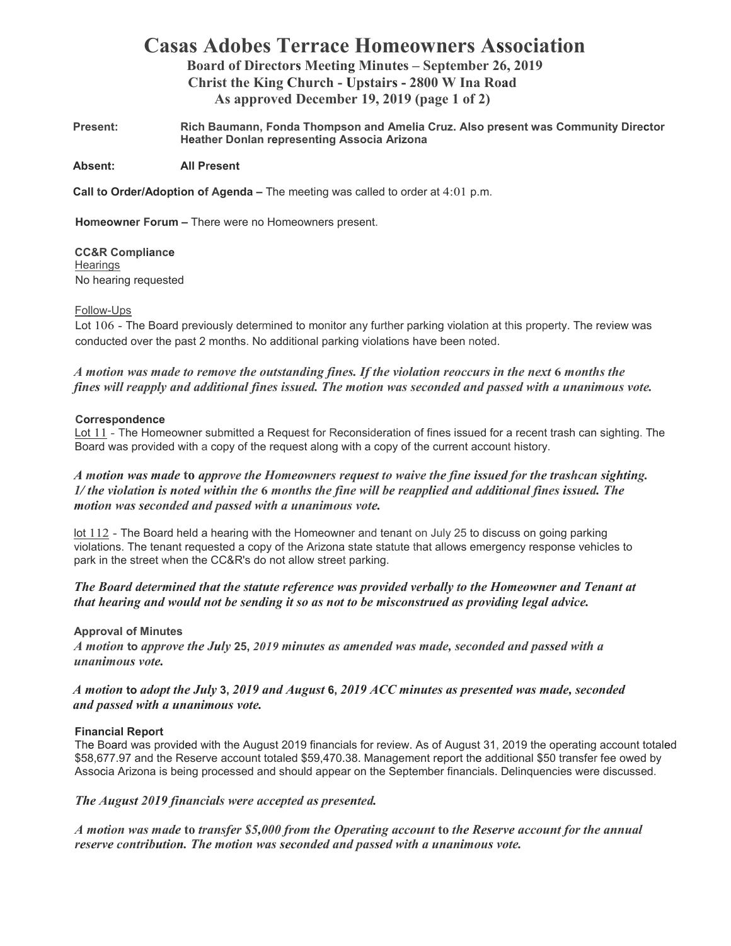# **Casas Adobes Terrace Homeowners Association**

**Board of Directors Meeting Minutes – September 26, 2019 Christ the King Church - Upstairs - 2800 W Ina Road As approved December 19, 2019 (page 1 of 2)** 

**Present: Rich Baumann, Fonda Thompson and Amelia Cruz. Also present was Community Director Heather Donlan representing Associa Arizona** 

**Absent: All Present** 

**Call to Order/Adoption of Agenda –** The meeting was called to order at 4:01 p.m.

**Homeowner Forum –** There were no Homeowners present.

**CC&R Compliance Hearings** No hearing requested

#### Follow-Ups

Lot 106 - The Board previously determined to monitor any further parking violation at this property. The review was conducted over the past 2 months. No additional parking violations have been noted.

*A motion was made to remove the outstanding fines. If the violation reoccurs in the next 6 months the fines will reapply and additional fines issued. The motion was seconded and passed with a unanimous vote.* 

#### **Correspondence**

Lot 11 - The Homeowner submitted a Request for Reconsideration of fines issued for a recent trash can sighting. The Board was provided with a copy of the request along with a copy of the current account history.

# *A motion was made* **to** *approve the Homeowners request to waive the fine issued for the trashcan sighting. 1/ the violation is noted within the* **6** *months the fine will be reapplied and additional fines issued. The motion was seconded and passed with a unanimous vote.*

lot 112 - The Board held a hearing with the Homeowner and tenant on July 25 to discuss on going parking violations. The tenant requested a copy of the Arizona state statute that allows emergency response vehicles to park in the street when the CC&R's do not allow street parking.

## *The Board determined that the statute reference was provided verbally to the Homeowner and Tenant at that hearing and would not be sending it so as not to be misconstrued as providing legal advice.*

## **Approval of Minutes**

*A motion* **to** *approve the July* **25,** *2019 minutes as amended was made, seconded and passed with a unanimous vote.* 

*A motion* **to** *adopt the July* **3,** *2019 and August* **6,** *2019 ACC minutes as presented was made, seconded and passed with a unanimous vote.* 

## **Financial Report**

The Board was provided with the August 2019 financials for review. As of August 31, 2019 the operating account totaled \$58,677.97 and the Reserve account totaled \$59,470.38. Management report the additional \$50 transfer fee owed by Associa Arizona is being processed and should appear on the September financials. Delinquencies were discussed.

*The August 2019 financials were accepted as presented.*

*A motion was made* **to** *transfer \$5,000 from the Operating account* **to** *the Reserve account for the annual reserve contribution. The motion was seconded and passed with a unanimous vote.*